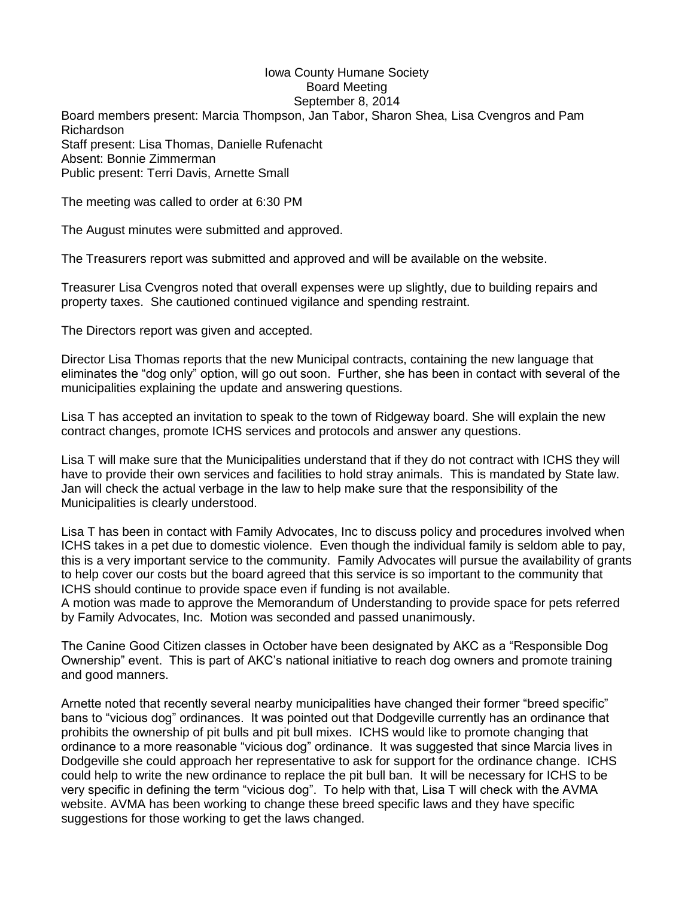## Iowa County Humane Society Board Meeting September 8, 2014

Board members present: Marcia Thompson, Jan Tabor, Sharon Shea, Lisa Cvengros and Pam Richardson Staff present: Lisa Thomas, Danielle Rufenacht Absent: Bonnie Zimmerman Public present: Terri Davis, Arnette Small

The meeting was called to order at 6:30 PM

The August minutes were submitted and approved.

The Treasurers report was submitted and approved and will be available on the website.

Treasurer Lisa Cvengros noted that overall expenses were up slightly, due to building repairs and property taxes. She cautioned continued vigilance and spending restraint.

The Directors report was given and accepted.

Director Lisa Thomas reports that the new Municipal contracts, containing the new language that eliminates the "dog only" option, will go out soon. Further, she has been in contact with several of the municipalities explaining the update and answering questions.

Lisa T has accepted an invitation to speak to the town of Ridgeway board. She will explain the new contract changes, promote ICHS services and protocols and answer any questions.

Lisa T will make sure that the Municipalities understand that if they do not contract with ICHS they will have to provide their own services and facilities to hold stray animals. This is mandated by State law. Jan will check the actual verbage in the law to help make sure that the responsibility of the Municipalities is clearly understood.

Lisa T has been in contact with Family Advocates, Inc to discuss policy and procedures involved when ICHS takes in a pet due to domestic violence. Even though the individual family is seldom able to pay, this is a very important service to the community. Family Advocates will pursue the availability of grants to help cover our costs but the board agreed that this service is so important to the community that ICHS should continue to provide space even if funding is not available.

A motion was made to approve the Memorandum of Understanding to provide space for pets referred by Family Advocates, Inc. Motion was seconded and passed unanimously.

The Canine Good Citizen classes in October have been designated by AKC as a "Responsible Dog Ownership" event. This is part of AKC's national initiative to reach dog owners and promote training and good manners.

Arnette noted that recently several nearby municipalities have changed their former "breed specific" bans to "vicious dog" ordinances. It was pointed out that Dodgeville currently has an ordinance that prohibits the ownership of pit bulls and pit bull mixes. ICHS would like to promote changing that ordinance to a more reasonable "vicious dog" ordinance. It was suggested that since Marcia lives in Dodgeville she could approach her representative to ask for support for the ordinance change. ICHS could help to write the new ordinance to replace the pit bull ban. It will be necessary for ICHS to be very specific in defining the term "vicious dog". To help with that, Lisa T will check with the AVMA website. AVMA has been working to change these breed specific laws and they have specific suggestions for those working to get the laws changed.